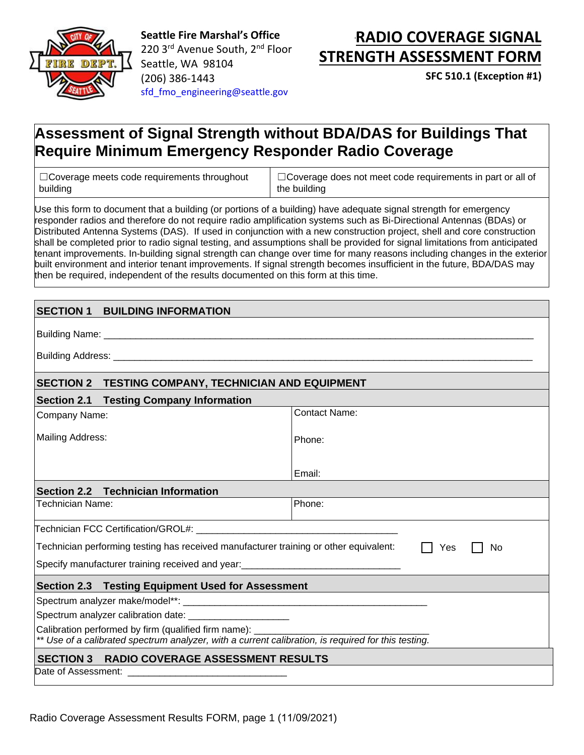

**Seattle Fire Marshal's Office**  220 3<sup>rd</sup> Avenue South, 2<sup>nd</sup> Floor Seattle, WA 98104 (206) 386-1443 [sfd\\_fmo\\_engineering@seattle.gov](mailto:sfd_fmo_engineering@seattle.gov)

# **RADIO COVERAGE SIGNAL STRENGTH ASSESSMENT FORM**

**SFC 510.1 (Exception #1)** 

## **Assessment of Signal Strength without BDA/DAS for Buildings That Require Minimum Emergency Responder Radio Coverage**

□Coverage meets code requirements throughout building

☐Coverage does not meet code requirements in part or all of the building

Use this form to document that a building (or portions of a building) have adequate signal strength for emergency responder radios and therefore do not require radio amplification systems such as Bi-Directional Antennas (BDAs) or Distributed Antenna Systems (DAS). If used in conjunction with a new construction project, shell and core construction shall be completed prior to radio signal testing, and assumptions shall be provided for signal limitations from anticipated tenant improvements. In-building signal strength can change over time for many reasons including changes in the exterior built environment and interior tenant improvements. If signal strength becomes insufficient in the future, BDA/DAS may then be required, independent of the results documented on this form at this time.

### **SECTION 1 BUILDING INFORMATION**

Building Name:

Building Address:

#### **SECTION 2 TESTING COMPANY, TECHNICIAN AND EQUIPMENT**

#### **Section 2.1 Testing Company Information**

| Company Name:                                                                                       | <b>Contact Name:</b> |  |  |
|-----------------------------------------------------------------------------------------------------|----------------------|--|--|
|                                                                                                     |                      |  |  |
| Mailing Address:                                                                                    | Phone:               |  |  |
|                                                                                                     |                      |  |  |
|                                                                                                     | Email:               |  |  |
| Section 2.2 Technician Information                                                                  |                      |  |  |
| <b>Technician Name:</b>                                                                             | Phone:               |  |  |
|                                                                                                     |                      |  |  |
| Technician performing testing has received manufacturer training or other equivalent:<br>No<br>Yes  |                      |  |  |
| Specify manufacturer training received and year: _______________________________                    |                      |  |  |
| Section 2.3 Testing Equipment Used for Assessment                                                   |                      |  |  |
|                                                                                                     |                      |  |  |
| Spectrum analyzer calibration date: ______________________                                          |                      |  |  |
| Calibration performed by firm (qualified firm name): ___________________________                    |                      |  |  |
| ** Use of a calibrated spectrum analyzer, with a current calibration, is required for this testing. |                      |  |  |
| SECTION 3 RADIO COVERAGE ASSESSMENT RESULTS                                                         |                      |  |  |
|                                                                                                     |                      |  |  |

Radio Coverage Assessment Results FORM, page 1 (11/09/2021)